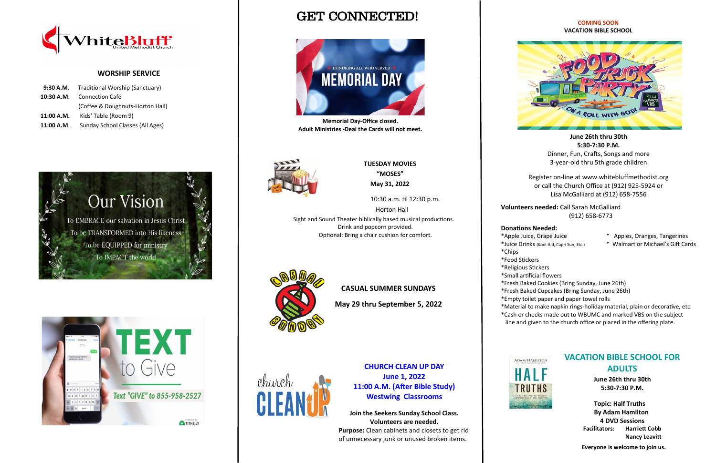GET CONNECTED!



### **COMING SOON VACATION BIBLE SCHOOL**



**June 26th thru 30th 5:30-7:30 P.M.** Dinner, Fun, Crafts, Songs and more 3-year-old thru 5th grade children

Register on-line at www.whitebluffmethodist.org or call the Church Office at (912) 925-5924 or Lisa McGalliard at (912) 658-7556

**Volunteers needed:** Call Sarah McGalliard (912) 658-6773

## **Donations Needed:**

- \*Apple Juice, Grape Juice \* Apples, Oranges, Tangerines
- \*Juice Drinks (Kool-Aid, Capri Sun, Etc.) \* Walmart or Michael's Gift Cards
- 
- 
- \*Chips
- 
- 
- 
- 
- 
- 
- 







church

\*Food Stickers

\*Religious Stickers

\*Small artificial flowers

\*Fresh Baked Cookies (Bring Sunday, June 26th)

\*Fresh Baked Cupcakes (Bring Sunday, June 26th)

\*Empty toilet paper and paper towel rolls

\*Material to make napkin rings-holiday material, plain or decorative, etc.

\*Cash or checks made out to WBUMC and marked VBS on the subject line and given to the church office or placed in the offering plate.



## **WORSHIP SERVICE**

|            | 9:30 A.M. Traditional Worship (Sanctuary) |
|------------|-------------------------------------------|
| 10:30 A.M. | Connection Café                           |
|            | (Coffee & Doughnuts-Horton Hall)          |
| 11:00 A.M. | Kids' Table (Room 9)                      |
| 11:00 A.M. | Sunday School Classes (All Ages)          |



 **TUESDAY MOVIES "MOSES" May 31, 2022**

 10:30 a.m. til 12:30 p.m. Horton Hall Sight and Sound Theater biblically based musical productions. Drink and popcorn provided.

Optional: Bring a chair cushion for comfort.



**CASUAL SUMMER SUNDAYS**

**May 29 thru September 5, 2022**

**Memorial Day-Office closed. Adult Ministries -Deal the Cards will not meet.**



## **VACATION BIBLE SCHOOL FOR ADULTS**

**June 26th thru 30th 5:30-7:30 P.M.**

 **Topic: Half Truths By Adam Hamilton 4 DVD Sessions Facilitators: Harriett Cobb Nancy Leavitt**

 **Everyone is welcome to join us.**



**Join the Seekers Sunday School Class. Volunteers are needed. Purpose:** Clean cabinets and closets to get rid of unnecessary junk or unused broken items.